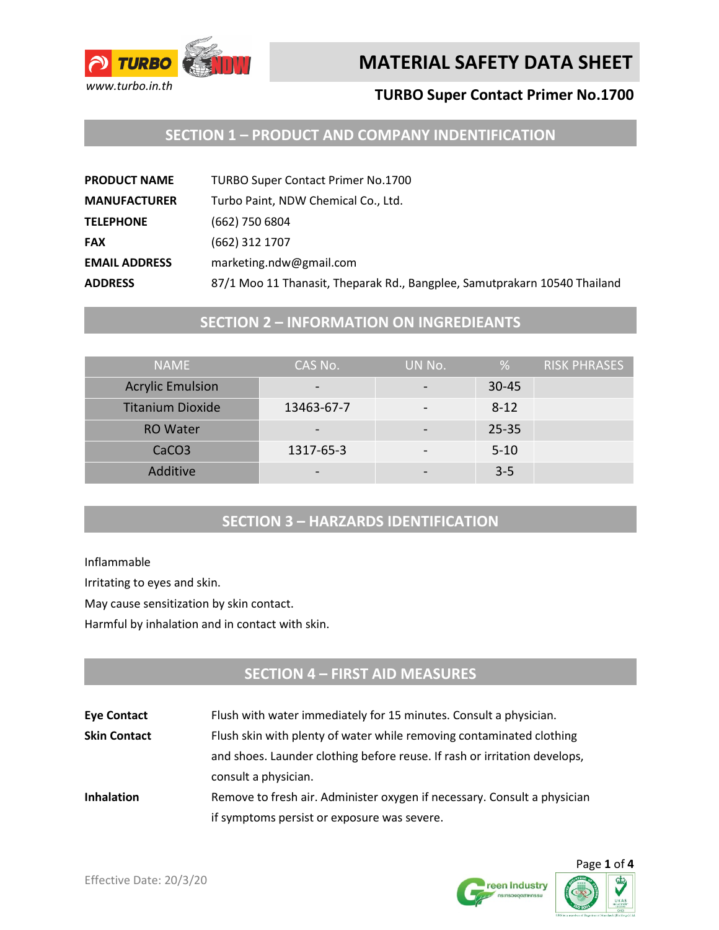

#### **TURBO Super Contact Primer No.1700**

## **SECTION 1 – PRODUCT AND COMPANY INDENTIFICATION**

| <b>PRODUCT NAME</b>  | <b>TURBO Super Contact Primer No.1700</b>                                 |
|----------------------|---------------------------------------------------------------------------|
| <b>MANUFACTURER</b>  | Turbo Paint, NDW Chemical Co., Ltd.                                       |
| <b>TELEPHONE</b>     | (662) 750 6804                                                            |
| <b>FAX</b>           | (662) 312 1707                                                            |
| <b>EMAIL ADDRESS</b> | marketing.ndw@gmail.com                                                   |
| <b>ADDRESS</b>       | 87/1 Moo 11 Thanasit, Theparak Rd., Bangplee, Samutprakarn 10540 Thailand |

#### **SECTION 2 – INFORMATION ON INGREDIEANTS**

| <b>NAME</b>             | CAS No.    | UN No. | %         | <b>RISK PHRASES</b> |
|-------------------------|------------|--------|-----------|---------------------|
| <b>Acrylic Emulsion</b> |            |        | $30 - 45$ |                     |
| <b>Titanium Dioxide</b> | 13463-67-7 |        | $8 - 12$  |                     |
| <b>RO</b> Water         |            |        | $25 - 35$ |                     |
| CaCO <sub>3</sub>       | 1317-65-3  | -      | $5 - 10$  |                     |
| Additive                |            |        | $3-5$     |                     |

#### **SECTION 3 – HARZARDS IDENTIFICATION**

Inflammable

Irritating to eyes and skin.

May cause sensitization by skin contact.

Harmful by inhalation and in contact with skin.

## **SECTION 4 – FIRST AID MEASURES**

**Eye Contact** Flush with water immediately for 15 minutes. Consult a physician. **Skin Contact** Flush skin with plenty of water while removing contaminated clothing and shoes. Launder clothing before reuse. If rash or irritation develops, consult a physician. **Inhalation** Remove to fresh air. Administer oxygen if necessary. Consult a physician if symptoms persist or exposure was severe.



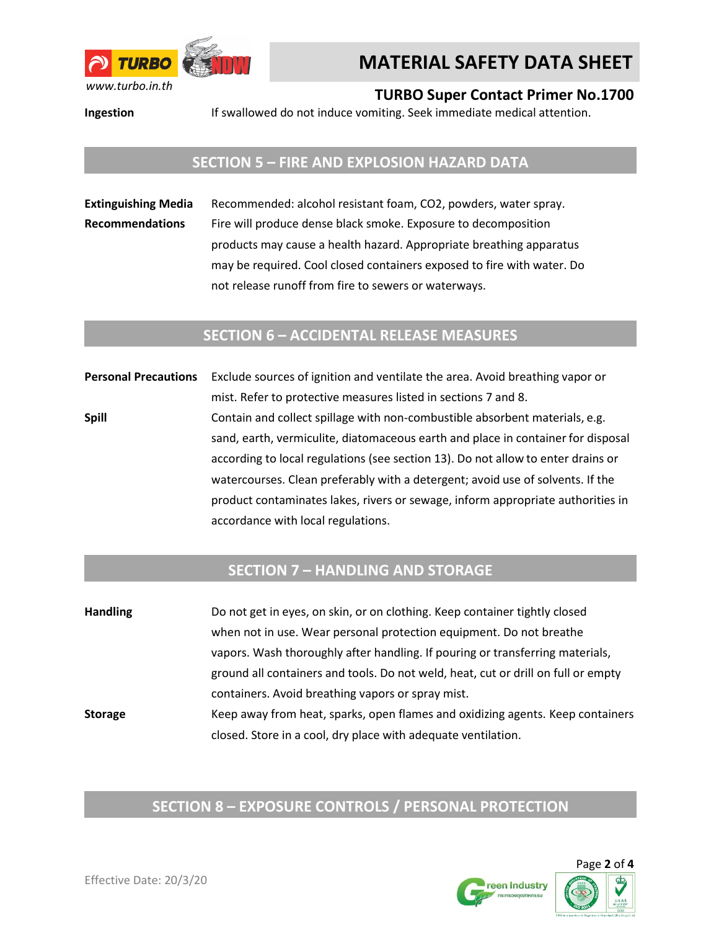

**TURBO Super Contact Primer No.1700**

**Ingestion** If swallowed do not induce vomiting. Seek immediate medical attention.

#### **SECTION 5 – FIRE AND EXPLOSION HAZARD DATA**

**Extinguishing Media** Recommended: alcohol resistant foam, CO2, powders, water spray. **Recommendations** Fire will produce dense black smoke. Exposure to decomposition products may cause a health hazard. Appropriate breathing apparatus may be required. Cool closed containers exposed to fire with water. Do not release runoff from fire to sewers or waterways.

#### **SECTION 6 – ACCIDENTAL RELEASE MEASURES**

**Personal Precautions** Exclude sources of ignition and ventilate the area. Avoid breathing vapor or mist. Refer to protective measures listed in sections 7 and 8. **Spill** Contain and collect spillage with non-combustible absorbent materials, e.g. sand, earth, vermiculite, diatomaceous earth and place in container for disposal according to local regulations (see section 13). Do not allow to enter drains or watercourses. Clean preferably with a detergent; avoid use of solvents. If the product contaminates lakes, rivers or sewage, inform appropriate authorities in accordance with local regulations.

## **SECTION 7 – HANDLING AND STORAGE**

| <b>Handling</b> | Do not get in eyes, on skin, or on clothing. Keep container tightly closed        |
|-----------------|-----------------------------------------------------------------------------------|
|                 | when not in use. Wear personal protection equipment. Do not breathe               |
|                 | vapors. Wash thoroughly after handling. If pouring or transferring materials,     |
|                 | ground all containers and tools. Do not weld, heat, cut or drill on full or empty |
|                 | containers. Avoid breathing vapors or spray mist.                                 |
| <b>Storage</b>  | Keep away from heat, sparks, open flames and oxidizing agents. Keep containers    |
|                 | closed. Store in a cool, dry place with adequate ventilation.                     |

#### **SECTION 8 – EXPOSURE CONTROLS / PERSONAL PROTECTION**

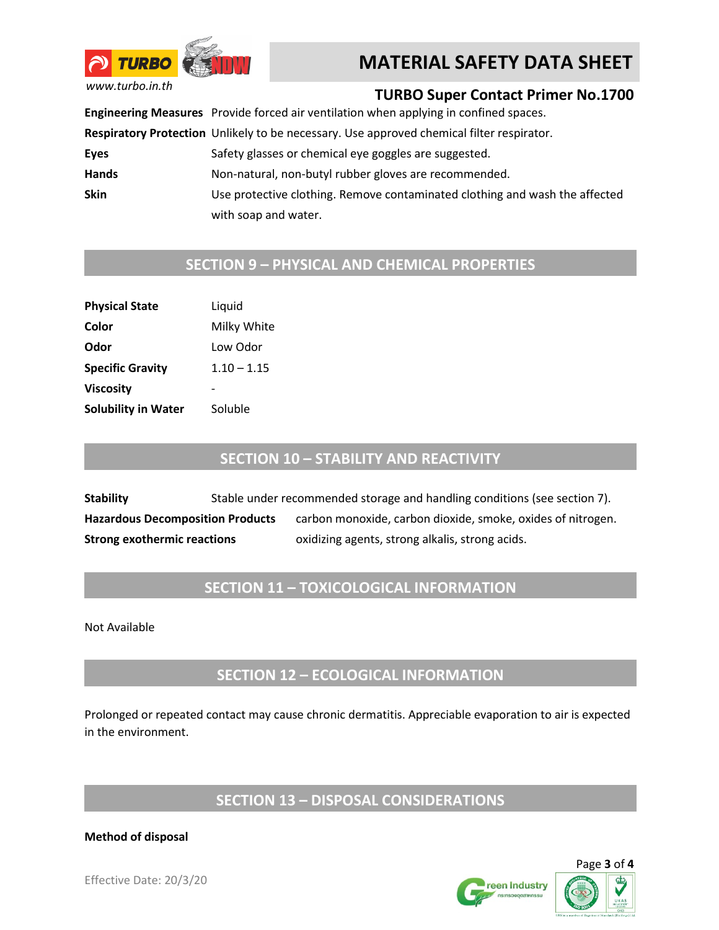

*www.turbo.in.th*

### **TURBO Super Contact Primer No.1700**

**Engineering Measures** Provide forced air ventilation when applying in confined spaces.

**Respiratory Protection** Unlikely to be necessary. Use approved chemical filter respirator.

Eyes Safety glasses or chemical eye goggles are suggested.

Hands Non-natural, non-butyl rubber gloves are recommended.

**Skin** Use protective clothing. Remove contaminated clothing and wash the affected with soap and water.

## **SECTION 9 – PHYSICAL AND CHEMICAL PROPERTIES**

| <b>Physical State</b>      | Liquid        |  |
|----------------------------|---------------|--|
| Color                      | Milky White   |  |
| Odor                       | Low Odor      |  |
| <b>Specific Gravity</b>    | $1.10 - 1.15$ |  |
| Viscosity                  |               |  |
| <b>Solubility in Water</b> | Soluble       |  |

### **SECTION 10 – STABILITY AND REACTIVITY**

**Stability** Stable under recommended storage and handling conditions (see section 7). **Hazardous Decomposition Products** carbon monoxide, carbon dioxide, smoke, oxides of nitrogen. **Strong exothermic reactions oxidizing agents, strong alkalis, strong acids.** 

## **SECTION 11 – TOXICOLOGICAL INFORMATION**

Not Available

## **SECTION 12 – ECOLOGICAL INFORMATION**

Prolonged or repeated contact may cause chronic dermatitis. Appreciable evaporation to air is expected in the environment.

#### **SECTION 13 – DISPOSAL CONSIDERATIONS**

#### **Method of disposal**



Page **3** of **4**

Effective Date: 20/3/20